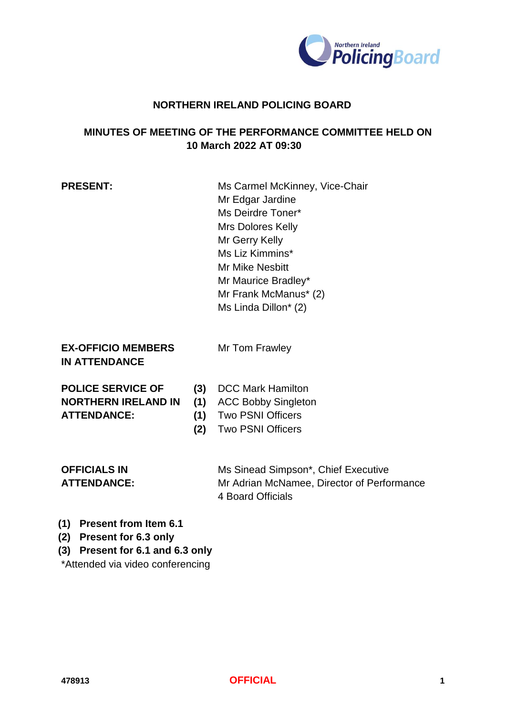

#### **NORTHERN IRELAND POLICING BOARD**

## **MINUTES OF MEETING OF THE PERFORMANCE COMMITTEE HELD ON 10 March 2022 AT 09:30**

**PRESENT:** Ms Carmel McKinney, Vice-Chair Mr Edgar Jardine Ms Deirdre Toner\* Mrs Dolores Kelly Mr Gerry Kelly Ms Liz Kimmins\* Mr Mike Nesbitt Mr Maurice Bradley\* Mr Frank McManus\* (2) Ms Linda Dillon\* (2)

#### **EX-OFFICIO MEMBERS IN ATTENDANCE**

Mr Tom Frawley

| <b>POLICE SERVICE OF</b>   |
|----------------------------|
| <b>NORTHERN IRELAND IN</b> |
| <b>ATTENDANCE:</b>         |

- **(3)** DCC Mark Hamilton
- **(1)** ACC Bobby Singleton
- **(1)** Two PSNI Officers
- **(2)** Two PSNI Officers

# **OFFICIALS IN ATTENDANCE:**

Ms Sinead Simpson\*, Chief Executive Mr Adrian McNamee, Director of Performance 4 Board Officials

- **(1) Present from Item 6.1**
- **(2) Present for 6.3 only**
- **(3) Present for 6.1 and 6.3 only**

\*Attended via video conferencing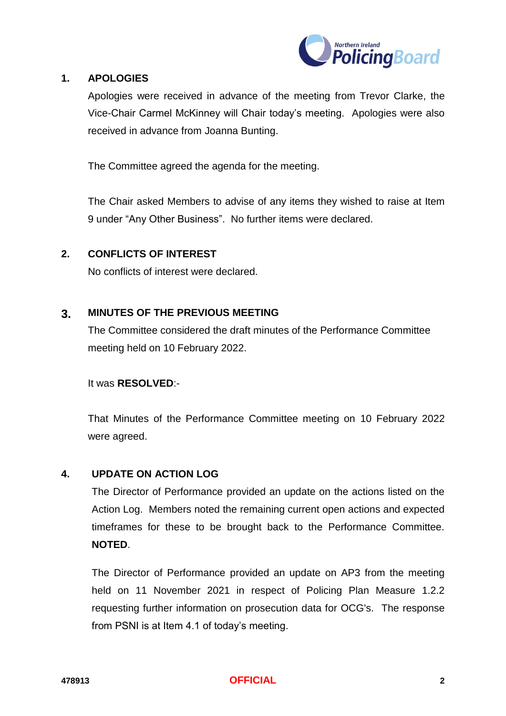

#### **1. APOLOGIES**

Apologies were received in advance of the meeting from Trevor Clarke, the Vice-Chair Carmel McKinney will Chair today's meeting. Apologies were also received in advance from Joanna Bunting.

The Committee agreed the agenda for the meeting.

The Chair asked Members to advise of any items they wished to raise at Item 9 under "Any Other Business". No further items were declared.

#### **2. CONFLICTS OF INTEREST**

No conflicts of interest were declared.

#### **3. MINUTES OF THE PREVIOUS MEETING**

The Committee considered the draft minutes of the Performance Committee meeting held on 10 February 2022.

It was **RESOLVED**:-

That Minutes of the Performance Committee meeting on 10 February 2022 were agreed.

#### **4. UPDATE ON ACTION LOG**

The Director of Performance provided an update on the actions listed on the Action Log. Members noted the remaining current open actions and expected timeframes for these to be brought back to the Performance Committee. **NOTED**.

The Director of Performance provided an update on AP3 from the meeting held on 11 November 2021 in respect of Policing Plan Measure 1.2.2 requesting further information on prosecution data for OCG's. The response from PSNI is at Item 4.1 of today's meeting.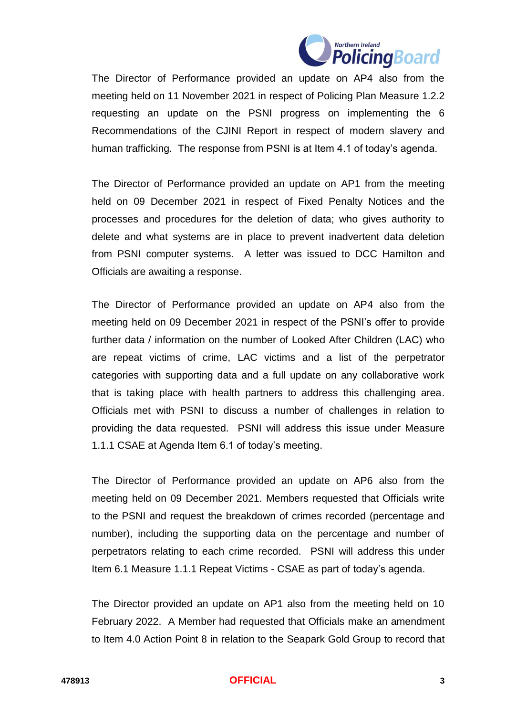

The Director of Performance provided an update on AP4 also from the meeting held on 11 November 2021 in respect of Policing Plan Measure 1.2.2 requesting an update on the PSNI progress on implementing the 6 Recommendations of the CJINI Report in respect of modern slavery and human trafficking. The response from PSNI is at Item 4.1 of today's agenda.

The Director of Performance provided an update on AP1 from the meeting held on 09 December 2021 in respect of Fixed Penalty Notices and the processes and procedures for the deletion of data; who gives authority to delete and what systems are in place to prevent inadvertent data deletion from PSNI computer systems. A letter was issued to DCC Hamilton and Officials are awaiting a response.

The Director of Performance provided an update on AP4 also from the meeting held on 09 December 2021 in respect of the PSNI's offer to provide further data / information on the number of Looked After Children (LAC) who are repeat victims of crime, LAC victims and a list of the perpetrator categories with supporting data and a full update on any collaborative work that is taking place with health partners to address this challenging area. Officials met with PSNI to discuss a number of challenges in relation to providing the data requested. PSNI will address this issue under Measure 1.1.1 CSAE at Agenda Item 6.1 of today's meeting.

The Director of Performance provided an update on AP6 also from the meeting held on 09 December 2021. Members requested that Officials write to the PSNI and request the breakdown of crimes recorded (percentage and number), including the supporting data on the percentage and number of perpetrators relating to each crime recorded. PSNI will address this under Item 6.1 Measure 1.1.1 Repeat Victims - CSAE as part of today's agenda.

The Director provided an update on AP1 also from the meeting held on 10 February 2022. A Member had requested that Officials make an amendment to Item 4.0 Action Point 8 in relation to the Seapark Gold Group to record that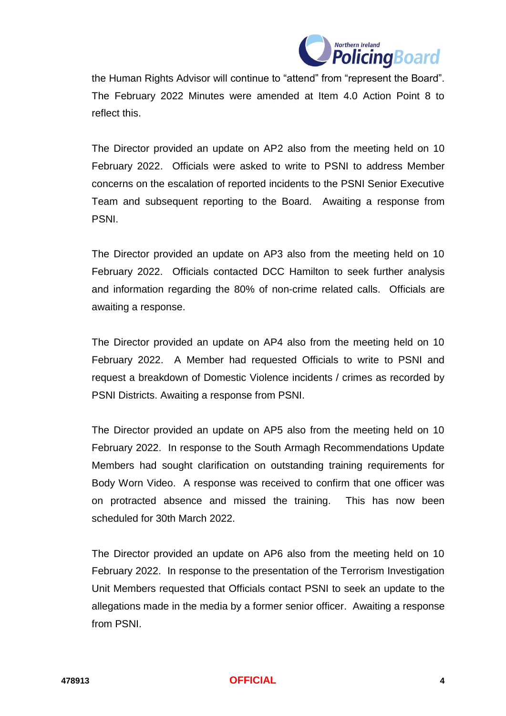

the Human Rights Advisor will continue to "attend" from "represent the Board". The February 2022 Minutes were amended at Item 4.0 Action Point 8 to reflect this.

The Director provided an update on AP2 also from the meeting held on 10 February 2022. Officials were asked to write to PSNI to address Member concerns on the escalation of reported incidents to the PSNI Senior Executive Team and subsequent reporting to the Board. Awaiting a response from PSNI.

The Director provided an update on AP3 also from the meeting held on 10 February 2022. Officials contacted DCC Hamilton to seek further analysis and information regarding the 80% of non-crime related calls. Officials are awaiting a response.

The Director provided an update on AP4 also from the meeting held on 10 February 2022. A Member had requested Officials to write to PSNI and request a breakdown of Domestic Violence incidents / crimes as recorded by PSNI Districts. Awaiting a response from PSNI.

The Director provided an update on AP5 also from the meeting held on 10 February 2022. In response to the South Armagh Recommendations Update Members had sought clarification on outstanding training requirements for Body Worn Video. A response was received to confirm that one officer was on protracted absence and missed the training. This has now been scheduled for 30th March 2022.

The Director provided an update on AP6 also from the meeting held on 10 February 2022. In response to the presentation of the Terrorism Investigation Unit Members requested that Officials contact PSNI to seek an update to the allegations made in the media by a former senior officer. Awaiting a response from PSNI.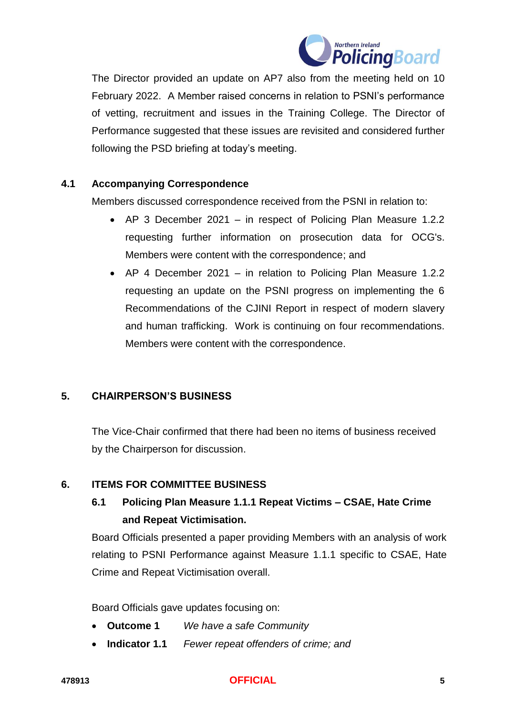

The Director provided an update on AP7 also from the meeting held on 10 February 2022. A Member raised concerns in relation to PSNI's performance of vetting, recruitment and issues in the Training College. The Director of Performance suggested that these issues are revisited and considered further following the PSD briefing at today's meeting.

#### **4.1 Accompanying Correspondence**

Members discussed correspondence received from the PSNI in relation to:

- AP 3 December 2021 in respect of Policing Plan Measure 1.2.2 requesting further information on prosecution data for OCG's. Members were content with the correspondence; and
- AP 4 December 2021 in relation to Policing Plan Measure 1.2.2 requesting an update on the PSNI progress on implementing the 6 Recommendations of the CJINI Report in respect of modern slavery and human trafficking. Work is continuing on four recommendations. Members were content with the correspondence.

#### **5. CHAIRPERSON'S BUSINESS**

The Vice-Chair confirmed that there had been no items of business received by the Chairperson for discussion.

#### **6. ITEMS FOR COMMITTEE BUSINESS**

# **6.1 Policing Plan Measure 1.1.1 Repeat Victims – CSAE, Hate Crime and Repeat Victimisation.**

Board Officials presented a paper providing Members with an analysis of work relating to PSNI Performance against Measure 1.1.1 specific to CSAE, Hate Crime and Repeat Victimisation overall.

Board Officials gave updates focusing on:

- **Outcome 1** *We have a safe Community*
- **Indicator 1.1** *Fewer repeat offenders of crime; and*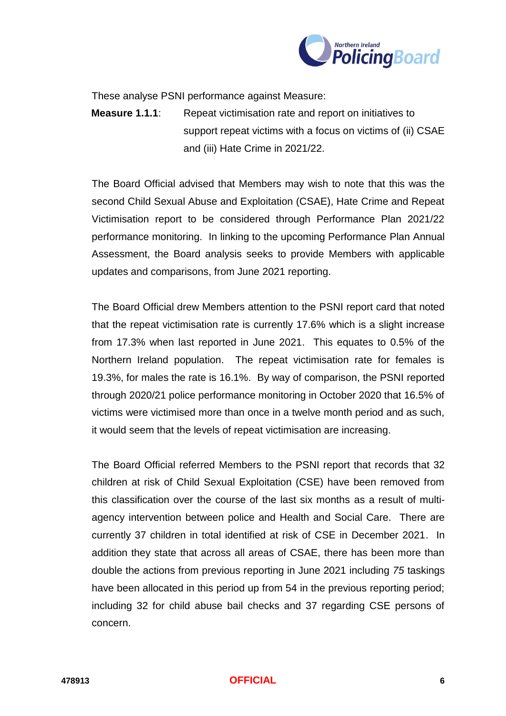

These analyse PSNI performance against Measure:

**Measure 1.1.1**: Repeat victimisation rate and report on initiatives to support repeat victims with a focus on victims of (ii) CSAE and (iii) Hate Crime in 2021/22.

The Board Official advised that Members may wish to note that this was the second Child Sexual Abuse and Exploitation (CSAE), Hate Crime and Repeat Victimisation report to be considered through Performance Plan 2021/22 performance monitoring. In linking to the upcoming Performance Plan Annual Assessment, the Board analysis seeks to provide Members with applicable updates and comparisons, from June 2021 reporting.

The Board Official drew Members attention to the PSNI report card that noted that the repeat victimisation rate is currently 17.6% which is a slight increase from 17.3% when last reported in June 2021. This equates to 0.5% of the Northern Ireland population. The repeat victimisation rate for females is 19.3%, for males the rate is 16.1%. By way of comparison, the PSNI reported through 2020/21 police performance monitoring in October 2020 that 16.5% of victims were victimised more than once in a twelve month period and as such, it would seem that the levels of repeat victimisation are increasing.

The Board Official referred Members to the PSNI report that records that 32 children at risk of Child Sexual Exploitation (CSE) have been removed from this classification over the course of the last six months as a result of multiagency intervention between police and Health and Social Care. There are currently 37 children in total identified at risk of CSE in December 2021. In addition they state that across all areas of CSAE, there has been more than double the actions from previous reporting in June 2021 including *75* taskings have been allocated in this period up from 54 in the previous reporting period; including 32 for child abuse bail checks and 37 regarding CSE persons of concern.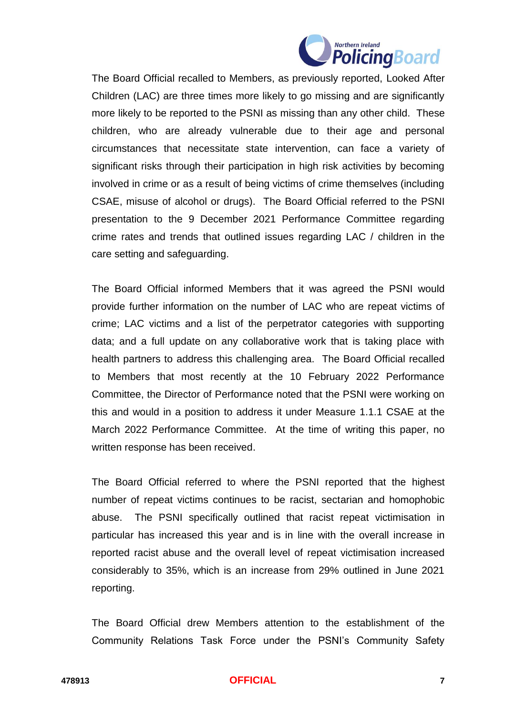

The Board Official recalled to Members, as previously reported, Looked After Children (LAC) are three times more likely to go missing and are significantly more likely to be reported to the PSNI as missing than any other child. These children, who are already vulnerable due to their age and personal circumstances that necessitate state intervention, can face a variety of significant risks through their participation in high risk activities by becoming involved in crime or as a result of being victims of crime themselves (including CSAE, misuse of alcohol or drugs). The Board Official referred to the PSNI presentation to the 9 December 2021 Performance Committee regarding crime rates and trends that outlined issues regarding LAC / children in the care setting and safeguarding.

The Board Official informed Members that it was agreed the PSNI would provide further information on the number of LAC who are repeat victims of crime; LAC victims and a list of the perpetrator categories with supporting data; and a full update on any collaborative work that is taking place with health partners to address this challenging area. The Board Official recalled to Members that most recently at the 10 February 2022 Performance Committee, the Director of Performance noted that the PSNI were working on this and would in a position to address it under Measure 1.1.1 CSAE at the March 2022 Performance Committee. At the time of writing this paper, no written response has been received.

The Board Official referred to where the PSNI reported that the highest number of repeat victims continues to be racist, sectarian and homophobic abuse. The PSNI specifically outlined that racist repeat victimisation in particular has increased this year and is in line with the overall increase in reported racist abuse and the overall level of repeat victimisation increased considerably to 35%, which is an increase from 29% outlined in June 2021 reporting.

The Board Official drew Members attention to the establishment of the Community Relations Task Force under the PSNI's Community Safety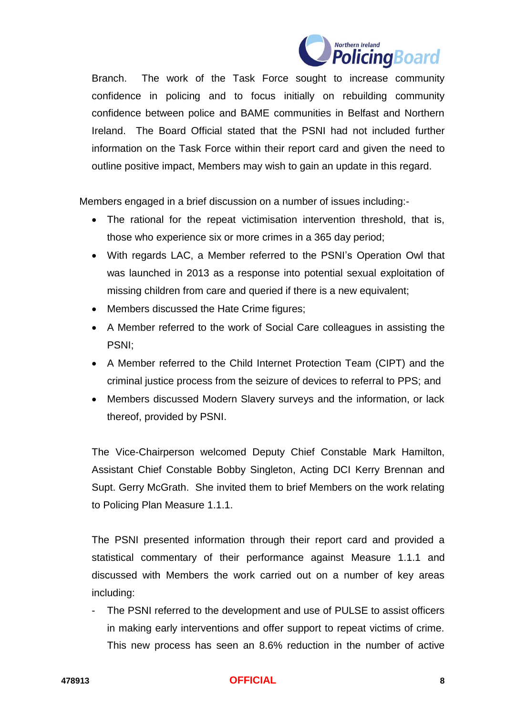

Branch. The work of the Task Force sought to increase community confidence in policing and to focus initially on rebuilding community confidence between police and BAME communities in Belfast and Northern Ireland. The Board Official stated that the PSNI had not included further information on the Task Force within their report card and given the need to outline positive impact, Members may wish to gain an update in this regard.

Members engaged in a brief discussion on a number of issues including:-

- The rational for the repeat victimisation intervention threshold, that is, those who experience six or more crimes in a 365 day period;
- With regards LAC, a Member referred to the PSNI's Operation Owl that was launched in 2013 as a response into potential sexual exploitation of missing children from care and queried if there is a new equivalent;
- Members discussed the Hate Crime figures;
- A Member referred to the work of Social Care colleagues in assisting the PSNI;
- A Member referred to the Child Internet Protection Team (CIPT) and the criminal justice process from the seizure of devices to referral to PPS; and
- Members discussed Modern Slavery surveys and the information, or lack thereof, provided by PSNI.

The Vice-Chairperson welcomed Deputy Chief Constable Mark Hamilton, Assistant Chief Constable Bobby Singleton, Acting DCI Kerry Brennan and Supt. Gerry McGrath. She invited them to brief Members on the work relating to Policing Plan Measure 1.1.1.

The PSNI presented information through their report card and provided a statistical commentary of their performance against Measure 1.1.1 and discussed with Members the work carried out on a number of key areas including:

- The PSNI referred to the development and use of PULSE to assist officers in making early interventions and offer support to repeat victims of crime. This new process has seen an 8.6% reduction in the number of active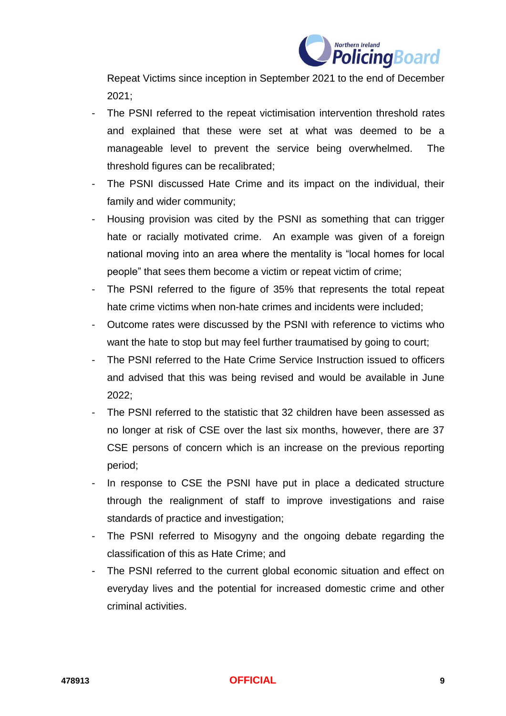

Repeat Victims since inception in September 2021 to the end of December 2021;

- The PSNI referred to the repeat victimisation intervention threshold rates and explained that these were set at what was deemed to be a manageable level to prevent the service being overwhelmed. The threshold figures can be recalibrated;
- The PSNI discussed Hate Crime and its impact on the individual, their family and wider community;
- Housing provision was cited by the PSNI as something that can trigger hate or racially motivated crime. An example was given of a foreign national moving into an area where the mentality is "local homes for local people" that sees them become a victim or repeat victim of crime;
- The PSNI referred to the figure of 35% that represents the total repeat hate crime victims when non-hate crimes and incidents were included;
- Outcome rates were discussed by the PSNI with reference to victims who want the hate to stop but may feel further traumatised by going to court;
- The PSNI referred to the Hate Crime Service Instruction issued to officers and advised that this was being revised and would be available in June 2022;
- The PSNI referred to the statistic that 32 children have been assessed as no longer at risk of CSE over the last six months, however, there are 37 CSE persons of concern which is an increase on the previous reporting period;
- In response to CSE the PSNI have put in place a dedicated structure through the realignment of staff to improve investigations and raise standards of practice and investigation;
- The PSNI referred to Misogyny and the ongoing debate regarding the classification of this as Hate Crime; and
- The PSNI referred to the current global economic situation and effect on everyday lives and the potential for increased domestic crime and other criminal activities.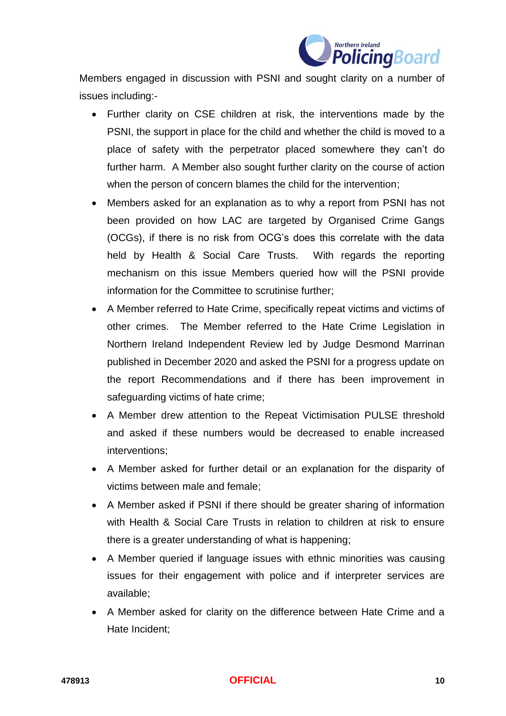

Members engaged in discussion with PSNI and sought clarity on a number of issues including:-

- Further clarity on CSE children at risk, the interventions made by the PSNI, the support in place for the child and whether the child is moved to a place of safety with the perpetrator placed somewhere they can't do further harm. A Member also sought further clarity on the course of action when the person of concern blames the child for the intervention;
- Members asked for an explanation as to why a report from PSNI has not been provided on how LAC are targeted by Organised Crime Gangs (OCGs), if there is no risk from OCG's does this correlate with the data held by Health & Social Care Trusts. With regards the reporting mechanism on this issue Members queried how will the PSNI provide information for the Committee to scrutinise further;
- A Member referred to Hate Crime, specifically repeat victims and victims of other crimes. The Member referred to the Hate Crime Legislation in Northern Ireland Independent Review led by Judge Desmond Marrinan published in December 2020 and asked the PSNI for a progress update on the report Recommendations and if there has been improvement in safeguarding victims of hate crime;
- A Member drew attention to the Repeat Victimisation PULSE threshold and asked if these numbers would be decreased to enable increased interventions;
- A Member asked for further detail or an explanation for the disparity of victims between male and female;
- A Member asked if PSNI if there should be greater sharing of information with Health & Social Care Trusts in relation to children at risk to ensure there is a greater understanding of what is happening;
- A Member queried if language issues with ethnic minorities was causing issues for their engagement with police and if interpreter services are available;
- A Member asked for clarity on the difference between Hate Crime and a Hate Incident;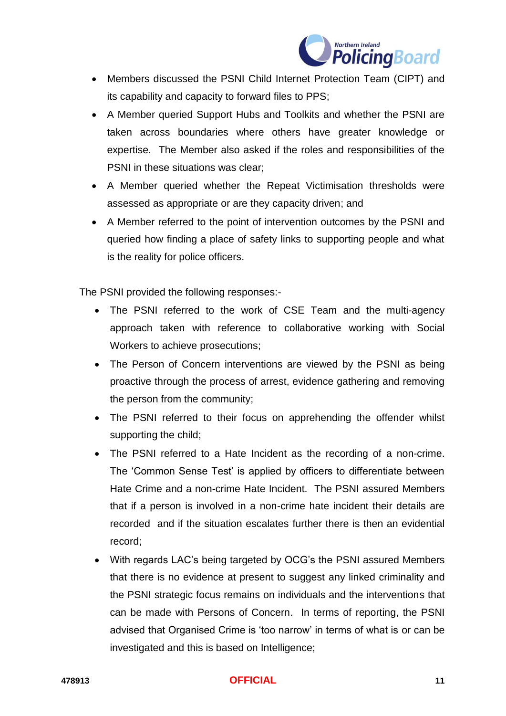

- Members discussed the PSNI Child Internet Protection Team (CIPT) and its capability and capacity to forward files to PPS;
- A Member queried Support Hubs and Toolkits and whether the PSNI are taken across boundaries where others have greater knowledge or expertise. The Member also asked if the roles and responsibilities of the PSNI in these situations was clear;
- A Member queried whether the Repeat Victimisation thresholds were assessed as appropriate or are they capacity driven; and
- A Member referred to the point of intervention outcomes by the PSNI and queried how finding a place of safety links to supporting people and what is the reality for police officers.

The PSNI provided the following responses:-

- The PSNI referred to the work of CSE Team and the multi-agency approach taken with reference to collaborative working with Social Workers to achieve prosecutions;
- The Person of Concern interventions are viewed by the PSNI as being proactive through the process of arrest, evidence gathering and removing the person from the community;
- The PSNI referred to their focus on apprehending the offender whilst supporting the child;
- The PSNI referred to a Hate Incident as the recording of a non-crime. The 'Common Sense Test' is applied by officers to differentiate between Hate Crime and a non-crime Hate Incident. The PSNI assured Members that if a person is involved in a non-crime hate incident their details are recorded and if the situation escalates further there is then an evidential record;
- With regards LAC's being targeted by OCG's the PSNI assured Members that there is no evidence at present to suggest any linked criminality and the PSNI strategic focus remains on individuals and the interventions that can be made with Persons of Concern. In terms of reporting, the PSNI advised that Organised Crime is 'too narrow' in terms of what is or can be investigated and this is based on Intelligence;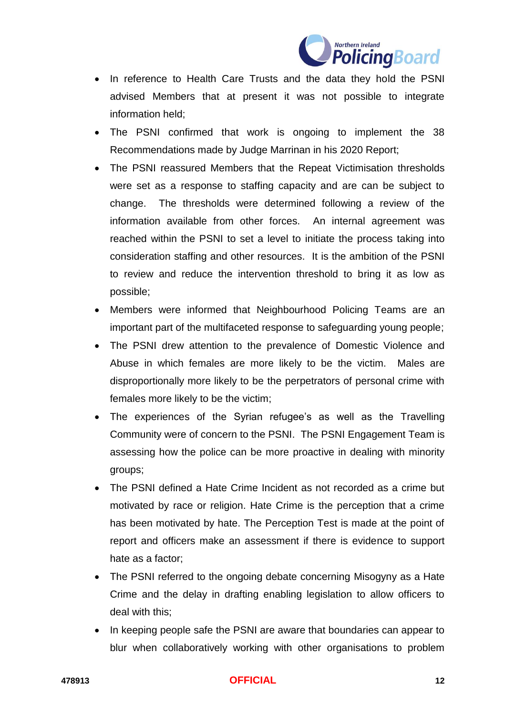

- In reference to Health Care Trusts and the data they hold the PSNI advised Members that at present it was not possible to integrate information held;
- The PSNI confirmed that work is ongoing to implement the 38 Recommendations made by Judge Marrinan in his 2020 Report;
- The PSNI reassured Members that the Repeat Victimisation thresholds were set as a response to staffing capacity and are can be subject to change. The thresholds were determined following a review of the information available from other forces. An internal agreement was reached within the PSNI to set a level to initiate the process taking into consideration staffing and other resources. It is the ambition of the PSNI to review and reduce the intervention threshold to bring it as low as possible;
- Members were informed that Neighbourhood Policing Teams are an important part of the multifaceted response to safeguarding young people;
- The PSNI drew attention to the prevalence of Domestic Violence and Abuse in which females are more likely to be the victim. Males are disproportionally more likely to be the perpetrators of personal crime with females more likely to be the victim;
- The experiences of the Syrian refugee's as well as the Travelling Community were of concern to the PSNI. The PSNI Engagement Team is assessing how the police can be more proactive in dealing with minority groups;
- The PSNI defined a Hate Crime Incident as not recorded as a crime but motivated by race or religion. Hate Crime is the perception that a crime has been motivated by hate. The Perception Test is made at the point of report and officers make an assessment if there is evidence to support hate as a factor;
- The PSNI referred to the ongoing debate concerning Misogyny as a Hate Crime and the delay in drafting enabling legislation to allow officers to deal with this;
- In keeping people safe the PSNI are aware that boundaries can appear to blur when collaboratively working with other organisations to problem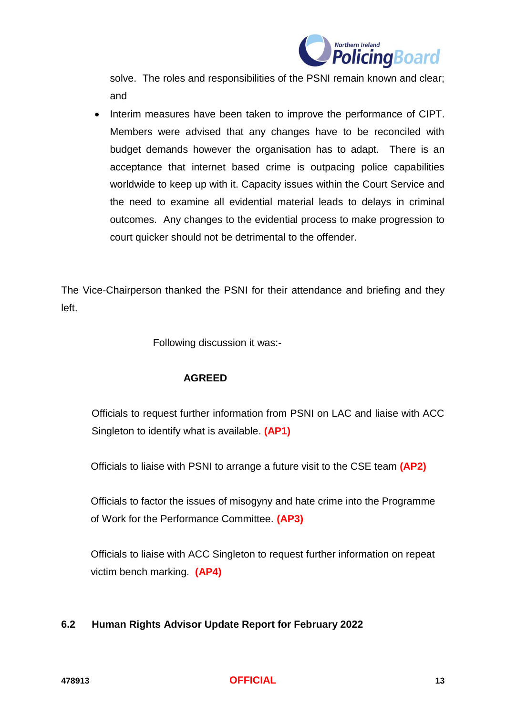

solve. The roles and responsibilities of the PSNI remain known and clear; and

• Interim measures have been taken to improve the performance of CIPT. Members were advised that any changes have to be reconciled with budget demands however the organisation has to adapt. There is an acceptance that internet based crime is outpacing police capabilities worldwide to keep up with it. Capacity issues within the Court Service and the need to examine all evidential material leads to delays in criminal outcomes. Any changes to the evidential process to make progression to court quicker should not be detrimental to the offender.

The Vice-Chairperson thanked the PSNI for their attendance and briefing and they left.

Following discussion it was:-

## **AGREED**

Officials to request further information from PSNI on LAC and liaise with ACC Singleton to identify what is available. **(AP1)**

Officials to liaise with PSNI to arrange a future visit to the CSE team **(AP2)**

Officials to factor the issues of misogyny and hate crime into the Programme of Work for the Performance Committee. **(AP3)**

Officials to liaise with ACC Singleton to request further information on repeat victim bench marking. **(AP4)**

# **6.2 Human Rights Advisor Update Report for February 2022**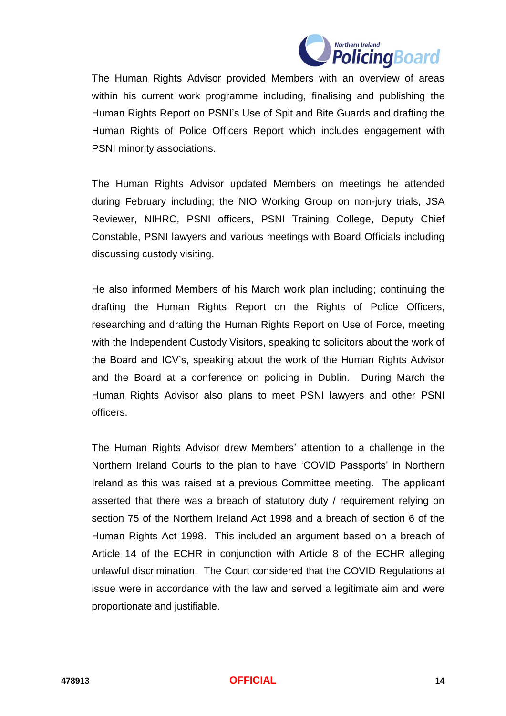

The Human Rights Advisor provided Members with an overview of areas within his current work programme including, finalising and publishing the Human Rights Report on PSNI's Use of Spit and Bite Guards and drafting the Human Rights of Police Officers Report which includes engagement with PSNI minority associations.

The Human Rights Advisor updated Members on meetings he attended during February including; the NIO Working Group on non-jury trials, JSA Reviewer, NIHRC, PSNI officers, PSNI Training College, Deputy Chief Constable, PSNI lawyers and various meetings with Board Officials including discussing custody visiting.

He also informed Members of his March work plan including; continuing the drafting the Human Rights Report on the Rights of Police Officers, researching and drafting the Human Rights Report on Use of Force, meeting with the Independent Custody Visitors, speaking to solicitors about the work of the Board and ICV's, speaking about the work of the Human Rights Advisor and the Board at a conference on policing in Dublin. During March the Human Rights Advisor also plans to meet PSNI lawyers and other PSNI officers.

The Human Rights Advisor drew Members' attention to a challenge in the Northern Ireland Courts to the plan to have 'COVID Passports' in Northern Ireland as this was raised at a previous Committee meeting. The applicant asserted that there was a breach of statutory duty / requirement relying on section 75 of the Northern Ireland Act 1998 and a breach of section 6 of the Human Rights Act 1998. This included an argument based on a breach of Article 14 of the ECHR in conjunction with Article 8 of the ECHR alleging unlawful discrimination. The Court considered that the COVID Regulations at issue were in accordance with the law and served a legitimate aim and were proportionate and justifiable.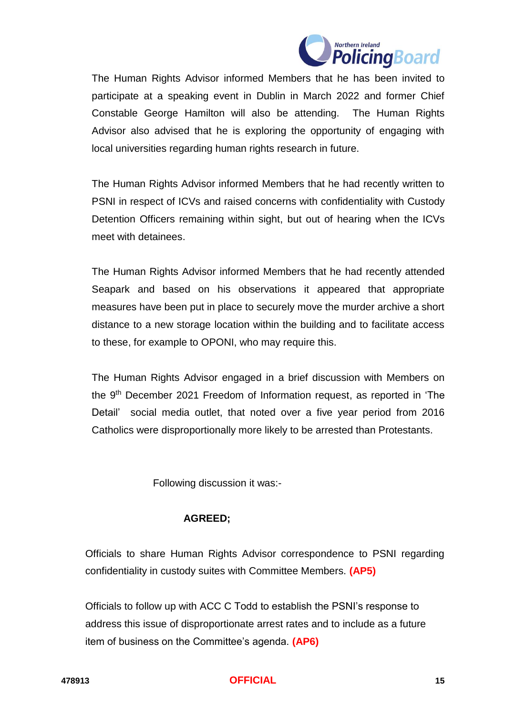

The Human Rights Advisor informed Members that he has been invited to participate at a speaking event in Dublin in March 2022 and former Chief Constable George Hamilton will also be attending. The Human Rights Advisor also advised that he is exploring the opportunity of engaging with local universities regarding human rights research in future.

The Human Rights Advisor informed Members that he had recently written to PSNI in respect of ICVs and raised concerns with confidentiality with Custody Detention Officers remaining within sight, but out of hearing when the ICVs meet with detainees.

The Human Rights Advisor informed Members that he had recently attended Seapark and based on his observations it appeared that appropriate measures have been put in place to securely move the murder archive a short distance to a new storage location within the building and to facilitate access to these, for example to OPONI, who may require this.

The Human Rights Advisor engaged in a brief discussion with Members on the 9<sup>th</sup> December 2021 Freedom of Information request, as reported in 'The Detail' social media outlet, that noted over a five year period from 2016 Catholics were disproportionally more likely to be arrested than Protestants.

Following discussion it was:-

## **AGREED;**

Officials to share Human Rights Advisor correspondence to PSNI regarding confidentiality in custody suites with Committee Members. **(AP5)**

Officials to follow up with ACC C Todd to establish the PSNI's response to address this issue of disproportionate arrest rates and to include as a future item of business on the Committee's agenda. **(AP6)**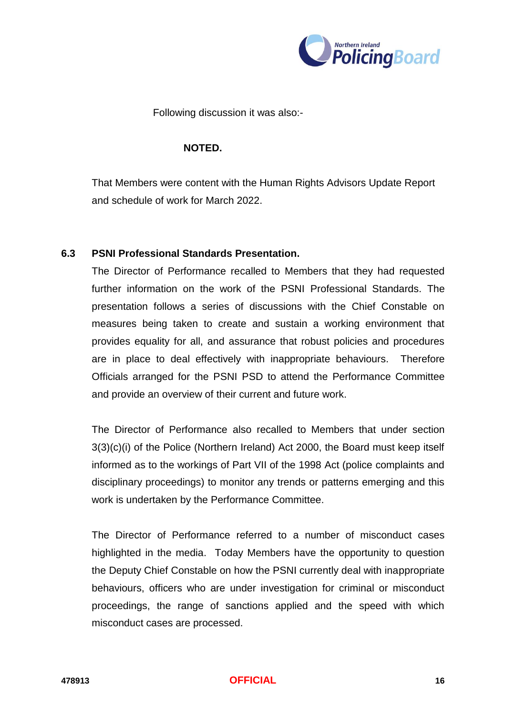

Following discussion it was also:-

#### **NOTED.**

That Members were content with the Human Rights Advisors Update Report and schedule of work for March 2022.

#### **6.3 PSNI Professional Standards Presentation.**

The Director of Performance recalled to Members that they had requested further information on the work of the PSNI Professional Standards. The presentation follows a series of discussions with the Chief Constable on measures being taken to create and sustain a working environment that provides equality for all, and assurance that robust policies and procedures are in place to deal effectively with inappropriate behaviours. Therefore Officials arranged for the PSNI PSD to attend the Performance Committee and provide an overview of their current and future work.

The Director of Performance also recalled to Members that under section 3(3)(c)(i) of the Police (Northern Ireland) Act 2000, the Board must keep itself informed as to the workings of Part VII of the 1998 Act (police complaints and disciplinary proceedings) to monitor any trends or patterns emerging and this work is undertaken by the Performance Committee.

The Director of Performance referred to a number of misconduct cases highlighted in the media. Today Members have the opportunity to question the Deputy Chief Constable on how the PSNI currently deal with inappropriate behaviours, officers who are under investigation for criminal or misconduct proceedings, the range of sanctions applied and the speed with which misconduct cases are processed.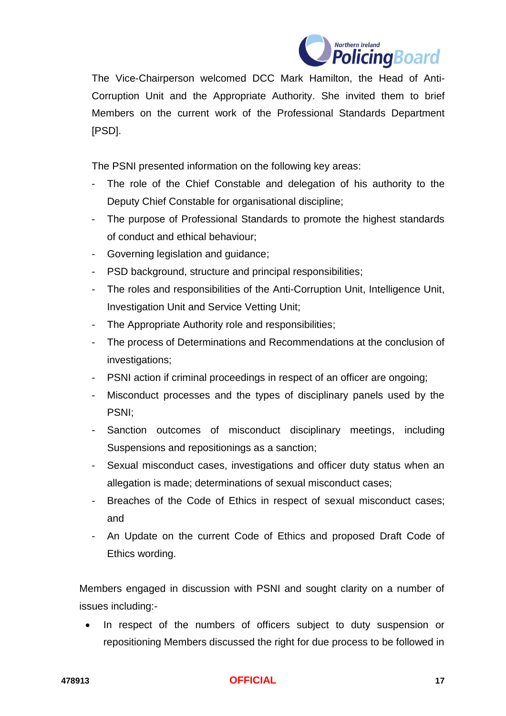

The Vice-Chairperson welcomed DCC Mark Hamilton, the Head of Anti-Corruption Unit and the Appropriate Authority. She invited them to brief Members on the current work of the Professional Standards Department [PSD].

The PSNI presented information on the following key areas:

- The role of the Chief Constable and delegation of his authority to the Deputy Chief Constable for organisational discipline;
- The purpose of Professional Standards to promote the highest standards of conduct and ethical behaviour;
- Governing legislation and guidance;
- PSD background, structure and principal responsibilities;
- The roles and responsibilities of the Anti-Corruption Unit, Intelligence Unit, Investigation Unit and Service Vetting Unit;
- The Appropriate Authority role and responsibilities;
- The process of Determinations and Recommendations at the conclusion of investigations;
- PSNI action if criminal proceedings in respect of an officer are ongoing;
- Misconduct processes and the types of disciplinary panels used by the PSNI;
- Sanction outcomes of misconduct disciplinary meetings, including Suspensions and repositionings as a sanction;
- Sexual misconduct cases, investigations and officer duty status when an allegation is made; determinations of sexual misconduct cases;
- Breaches of the Code of Ethics in respect of sexual misconduct cases; and
- An Update on the current Code of Ethics and proposed Draft Code of Ethics wording.

Members engaged in discussion with PSNI and sought clarity on a number of issues including:-

 In respect of the numbers of officers subject to duty suspension or repositioning Members discussed the right for due process to be followed in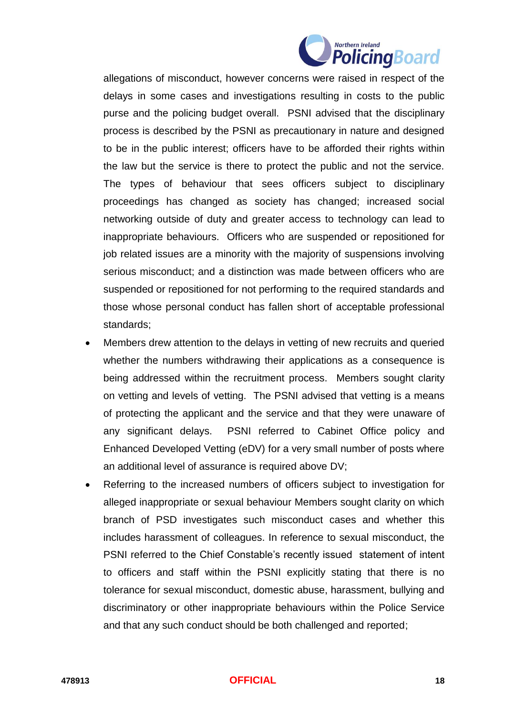

allegations of misconduct, however concerns were raised in respect of the delays in some cases and investigations resulting in costs to the public purse and the policing budget overall. PSNI advised that the disciplinary process is described by the PSNI as precautionary in nature and designed to be in the public interest; officers have to be afforded their rights within the law but the service is there to protect the public and not the service. The types of behaviour that sees officers subject to disciplinary proceedings has changed as society has changed; increased social networking outside of duty and greater access to technology can lead to inappropriate behaviours. Officers who are suspended or repositioned for job related issues are a minority with the majority of suspensions involving serious misconduct; and a distinction was made between officers who are suspended or repositioned for not performing to the required standards and those whose personal conduct has fallen short of acceptable professional standards;

- Members drew attention to the delays in vetting of new recruits and queried whether the numbers withdrawing their applications as a consequence is being addressed within the recruitment process. Members sought clarity on vetting and levels of vetting. The PSNI advised that vetting is a means of protecting the applicant and the service and that they were unaware of any significant delays. PSNI referred to Cabinet Office policy and Enhanced Developed Vetting (eDV) for a very small number of posts where an additional level of assurance is required above DV;
- Referring to the increased numbers of officers subject to investigation for alleged inappropriate or sexual behaviour Members sought clarity on which branch of PSD investigates such misconduct cases and whether this includes harassment of colleagues. In reference to sexual misconduct, the PSNI referred to the Chief Constable's recently issued statement of intent to officers and staff within the PSNI explicitly stating that there is no tolerance for sexual misconduct, domestic abuse, harassment, bullying and discriminatory or other inappropriate behaviours within the Police Service and that any such conduct should be both challenged and reported;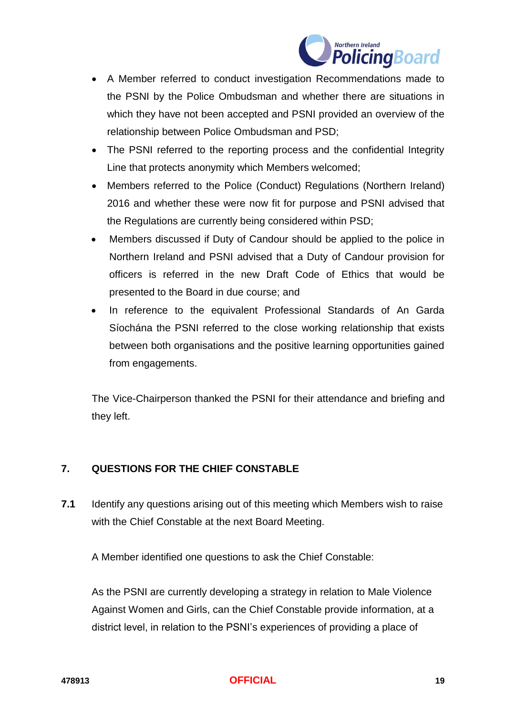

- A Member referred to conduct investigation Recommendations made to the PSNI by the Police Ombudsman and whether there are situations in which they have not been accepted and PSNI provided an overview of the relationship between Police Ombudsman and PSD;
- The PSNI referred to the reporting process and the confidential Integrity Line that protects anonymity which Members welcomed;
- Members referred to the Police (Conduct) Regulations (Northern Ireland) 2016 and whether these were now fit for purpose and PSNI advised that the Regulations are currently being considered within PSD;
- Members discussed if Duty of Candour should be applied to the police in Northern Ireland and PSNI advised that a Duty of Candour provision for officers is referred in the new Draft Code of Ethics that would be presented to the Board in due course; and
- In reference to the equivalent Professional Standards of An Garda Síochána the PSNI referred to the close working relationship that exists between both organisations and the positive learning opportunities gained from engagements.

The Vice-Chairperson thanked the PSNI for their attendance and briefing and they left.

# **7. QUESTIONS FOR THE CHIEF CONSTABLE**

**7.1** Identify any questions arising out of this meeting which Members wish to raise with the Chief Constable at the next Board Meeting.

A Member identified one questions to ask the Chief Constable:

As the PSNI are currently developing a strategy in relation to Male Violence Against Women and Girls, can the Chief Constable provide information, at a district level, in relation to the PSNI's experiences of providing a place of